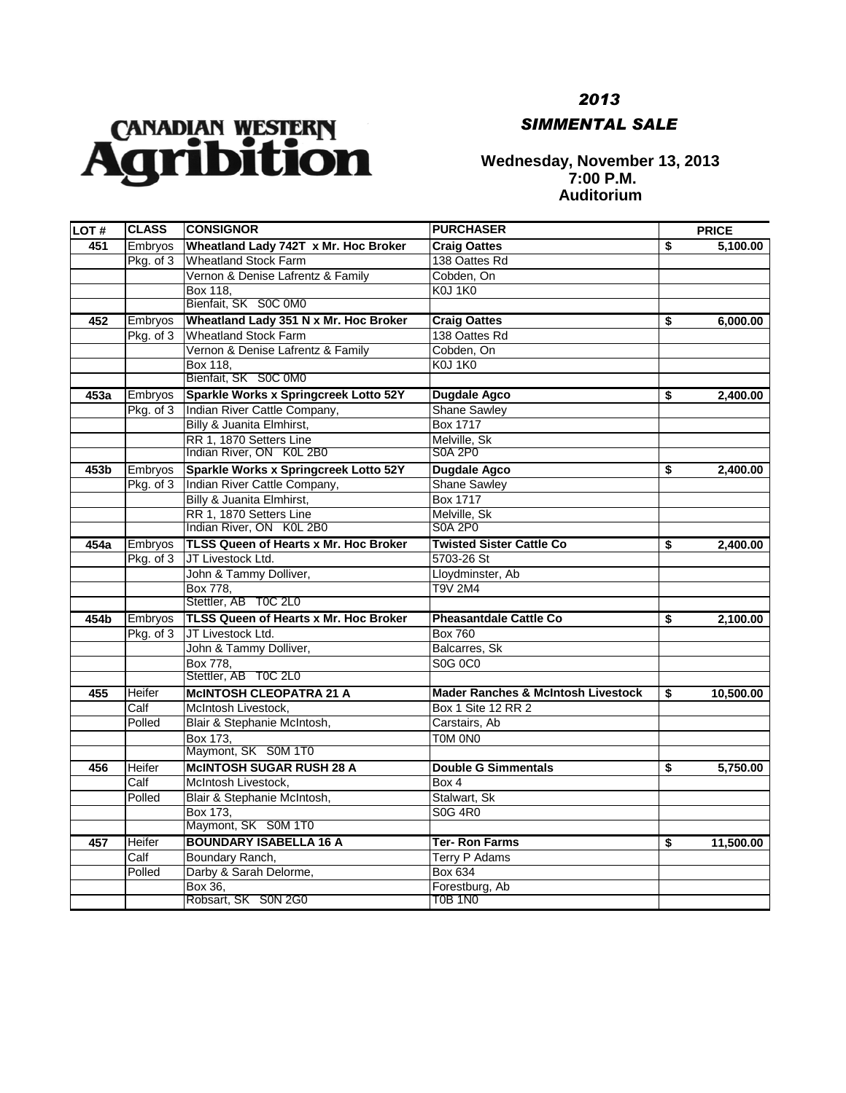## CANADIAN WESTERN

*2013*

## *SIMMENTAL SALE*

## **Wednesday, November 13, 2013 7:00 P.M. Auditorium**

| LOT# | <b>CLASS</b>   | <b>CONSIGNOR</b>                             | <b>PURCHASER</b>                              | <b>PRICE</b>    |
|------|----------------|----------------------------------------------|-----------------------------------------------|-----------------|
| 451  | Embryos        | Wheatland Lady 742T x Mr. Hoc Broker         | <b>Craig Oattes</b>                           | \$<br>5.100.00  |
|      | Pkg. of 3      | Wheatland Stock Farm                         | 138 Oattes Rd                                 |                 |
|      |                | Vernon & Denise Lafrentz & Family            | Cobden, On                                    |                 |
|      |                | Box 118,                                     | KOJ 1KO                                       |                 |
|      |                | Bienfait, SK S0C 0M0                         |                                               |                 |
| 452  | <b>Embryos</b> | Wheatland Lady 351 N x Mr. Hoc Broker        | <b>Craig Oattes</b>                           | \$<br>6,000.00  |
|      | Pkg. of 3      | <b>Wheatland Stock Farm</b>                  | 138 Oattes Rd                                 |                 |
|      |                | Vernon & Denise Lafrentz & Family            | Cobden, On                                    |                 |
|      |                | Box 118,                                     | KOJ 1KO                                       |                 |
|      |                | Bienfait, SK S0C 0M0                         |                                               |                 |
| 453a | Embryos        | Sparkle Works x Springcreek Lotto 52Y        | <b>Dugdale Agco</b>                           | \$<br>2,400.00  |
|      | Pkg. of 3      | Indian River Cattle Company,                 | <b>Shane Sawley</b>                           |                 |
|      |                | Billy & Juanita Elmhirst,                    | Box 1717                                      |                 |
|      |                | RR 1, 1870 Setters Line                      | Melville, Sk                                  |                 |
|      |                | Indian River, ON K0L 2B0                     | <b>S0A 2P0</b>                                |                 |
| 453b | <b>Embryos</b> | Sparkle Works x Springcreek Lotto 52Y        | <b>Dugdale Agco</b>                           | \$<br>2,400.00  |
|      | Pkg. of 3      | Indian River Cattle Company,                 | <b>Shane Sawley</b>                           |                 |
|      |                | Billy & Juanita Elmhirst,                    | <b>Box 1717</b>                               |                 |
|      |                | RR 1, 1870 Setters Line                      | Melville, Sk                                  |                 |
|      |                | Indian River, ON K0L 2B0                     | <b>S0A 2P0</b>                                |                 |
| 454a | Embryos        | <b>TLSS Queen of Hearts x Mr. Hoc Broker</b> | <b>Twisted Sister Cattle Co</b>               | \$<br>2,400.00  |
|      | Pkg. of 3      | JT Livestock Ltd.                            | 5703-26 St                                    |                 |
|      |                | John & Tammy Dolliver,                       | Lloydminster, Ab                              |                 |
|      |                | <b>Box 778,</b>                              | T9V 2M4                                       |                 |
|      |                | Stettler, AB TOC 2L0                         |                                               |                 |
| 454b | Embryos        | <b>TLSS Queen of Hearts x Mr. Hoc Broker</b> | <b>Pheasantdale Cattle Co</b>                 | \$<br>2,100.00  |
|      | Pkg. of 3      | JT Livestock Ltd.                            | <b>Box 760</b>                                |                 |
|      |                | John & Tammy Dolliver,                       | Balcarres, Sk                                 |                 |
|      |                | Box 778.                                     | S0G 0C0                                       |                 |
|      |                | Stettler, AB TOC 2L0                         |                                               |                 |
| 455  | Heifer         | <b>MCINTOSH CLEOPATRA 21 A</b>               | <b>Mader Ranches &amp; McIntosh Livestock</b> | \$<br>10,500.00 |
|      | Calf           | McIntosh Livestock,                          | Box 1 Site 12 RR 2                            |                 |
|      | Polled         | Blair & Stephanie McIntosh,                  | Carstairs, Ab                                 |                 |
|      |                | Box 173.                                     | TOM ONO                                       |                 |
|      |                | Maymont, SK S0M 1T0                          |                                               |                 |
| 456  | Heifer         | <b>MCINTOSH SUGAR RUSH 28 A</b>              | <b>Double G Simmentals</b>                    | \$<br>5,750.00  |
|      | Calf           | McIntosh Livestock,                          | Box 4                                         |                 |
|      | Polled         | Blair & Stephanie McIntosh,                  | Stalwart, Sk                                  |                 |
|      |                | Box 173.                                     | S0G 4R0                                       |                 |
|      |                | Maymont, SK S0M 1T0                          |                                               |                 |
| 457  | Heifer         | <b>BOUNDARY ISABELLA 16 A</b>                | <b>Ter-Ron Farms</b>                          | \$<br>11,500.00 |
|      | Calf           | Boundary Ranch,                              | <b>Terry P Adams</b>                          |                 |
|      | Polled         | Darby & Sarah Delorme,                       | <b>Box 634</b>                                |                 |
|      |                | Box 36,                                      | Forestburg, Ab                                |                 |
|      |                | Robsart, SK S0N 2G0                          | <b>T0B 1N0</b>                                |                 |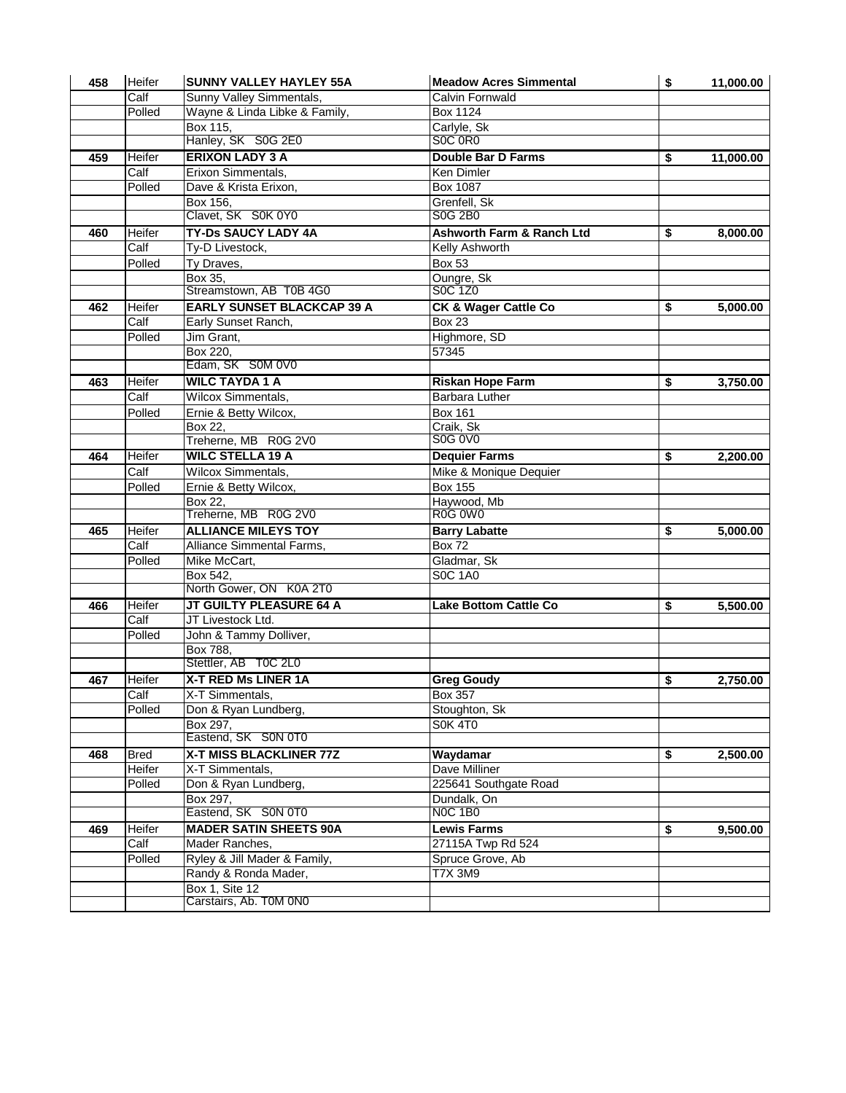| 458        | Heifer      | <b>SUNNY VALLEY HAYLEY 55A</b>    | <b>Meadow Acres Simmental</b>        | \$<br>11,000.00             |
|------------|-------------|-----------------------------------|--------------------------------------|-----------------------------|
|            | Calf        | Sunny Valley Simmentals,          | Calvin Fornwald                      |                             |
|            | Polled      | Wayne & Linda Libke & Family,     | <b>Box 1124</b>                      |                             |
|            |             | Box 115,                          | Carlyle, Sk                          |                             |
|            |             | Hanley, SK S0G 2E0                | SOC ORO                              |                             |
| 459        | Heifer      | <b>ERIXON LADY 3 A</b>            | <b>Double Bar D Farms</b>            | \$<br>11,000.00             |
|            | Calf        | Erixon Simmentals,                | Ken Dimler                           |                             |
|            | Polled      | Dave & Krista Erixon,             | <b>Box 1087</b>                      |                             |
|            |             | Box 156,                          | Grenfell, Sk                         |                             |
|            |             | Clavet, SK S0K 0Y0                | S0G 2B0                              |                             |
| 460        | Heifer      | <b>TY-Ds SAUCY LADY 4A</b>        | <b>Ashworth Farm &amp; Ranch Ltd</b> | \$<br>8,000.00              |
|            | Calf        | Ty-D Livestock,                   | <b>Kelly Ashworth</b>                |                             |
|            | Polled      | Ty Draves,                        | <b>Box 53</b>                        |                             |
|            |             | Box 35.                           | Oungre, Sk                           |                             |
|            |             | Streamstown, AB T0B 4G0           | S0C 1Z0                              |                             |
| 462        | Heifer      | <b>EARLY SUNSET BLACKCAP 39 A</b> | <b>CK &amp; Wager Cattle Co</b>      | \$<br>5,000.00              |
|            | Calf        | Early Sunset Ranch,               | Box 23                               |                             |
|            | Polled      | Jim Grant,                        | Highmore, SD                         |                             |
|            |             | Box 220,                          | 57345                                |                             |
|            |             | Edam, SK S0M 0V0                  |                                      |                             |
| 463        | Heifer      | <b>WILC TAYDA 1 A</b>             | <b>Riskan Hope Farm</b>              | \$<br>3,750.00              |
|            | Calf        | Wilcox Simmentals,                | Barbara Luther                       |                             |
|            | Polled      | Ernie & Betty Wilcox,             | <b>Box 161</b>                       |                             |
|            |             | Box 22.                           | Craik, Sk                            |                             |
|            |             | Treherne, MB R0G 2V0              | S0G 0V0                              |                             |
| 464        | Heifer      | <b>WILC STELLA 19 A</b>           | <b>Dequier Farms</b>                 | \$<br>2,200.00              |
|            | Calf        | <b>Wilcox Simmentals,</b>         | Mike & Monique Dequier               |                             |
|            | Polled      | Ernie & Betty Wilcox,             | <b>Box 155</b>                       |                             |
|            |             | Box 22.                           | Haywood, Mb                          |                             |
|            |             | Treherne, MB R0G 2V0              | R0G 0W0                              |                             |
| 465        | Heifer      | <b>ALLIANCE MILEYS TOY</b>        | <b>Barry Labatte</b>                 | \$<br>5,000.00              |
|            | Calf        | Alliance Simmental Farms,         | <b>Box 72</b>                        |                             |
|            | Polled      | Mike McCart,                      | Gladmar, Sk                          |                             |
|            |             | Box 542,                          | <b>SOC 1A0</b>                       |                             |
|            |             | North Gower, ON K0A 2T0           |                                      |                             |
| 466        | Heifer      | JT GUILTY PLEASURE 64 A           | <b>Lake Bottom Cattle Co</b>         | \$<br>$\overline{5,500.00}$ |
|            | Calf        | JT Livestock Ltd.                 |                                      |                             |
|            | Polled      | John & Tammy Dolliver,            |                                      |                             |
|            |             | Box 788,                          |                                      |                             |
|            |             | Stettler, AB T0C 2L0              |                                      |                             |
| 467        | Heifer      | <b>X-T RED Ms LINER 1A</b>        | <b>Greg Goudy</b>                    | \$<br>2,750.00              |
|            | Calf        | X-T Simmentals,                   | <b>Box 357</b>                       |                             |
|            | Polled      | Don & Ryan Lundberg,              | Stoughton, Sk                        |                             |
|            |             | Box 297,                          | <b>S0K 4T0</b>                       |                             |
|            |             | Eastend, SK S0N 0T0               |                                      |                             |
| 468<br>469 | <b>Bred</b> | X-T MISS BLACKLINER 77Z           | Waydamar                             | \$<br>2,500.00              |
|            | Heifer      | X-T Simmentals,                   | Dave Milliner                        |                             |
|            | Polled      | Don & Ryan Lundberg,              | 225641 Southgate Road                |                             |
|            |             | Box 297,                          | Dundalk, On                          |                             |
|            |             | Eastend, SK S0N 0T0               | <b>NOC 1B0</b>                       |                             |
|            | Heifer      | <b>MADER SATIN SHEETS 90A</b>     | <b>Lewis Farms</b>                   | \$<br>9,500.00              |
|            | Calf        | Mader Ranches,                    | 27115A Twp Rd 524                    |                             |
|            | Polled      | Ryley & Jill Mader & Family,      | Spruce Grove, Ab                     |                             |
|            |             | Randy & Ronda Mader,              | <b>T7X 3M9</b>                       |                             |
|            |             | <b>Box 1, Site 12</b>             |                                      |                             |
|            |             | Carstairs, Ab. T0M 0N0            |                                      |                             |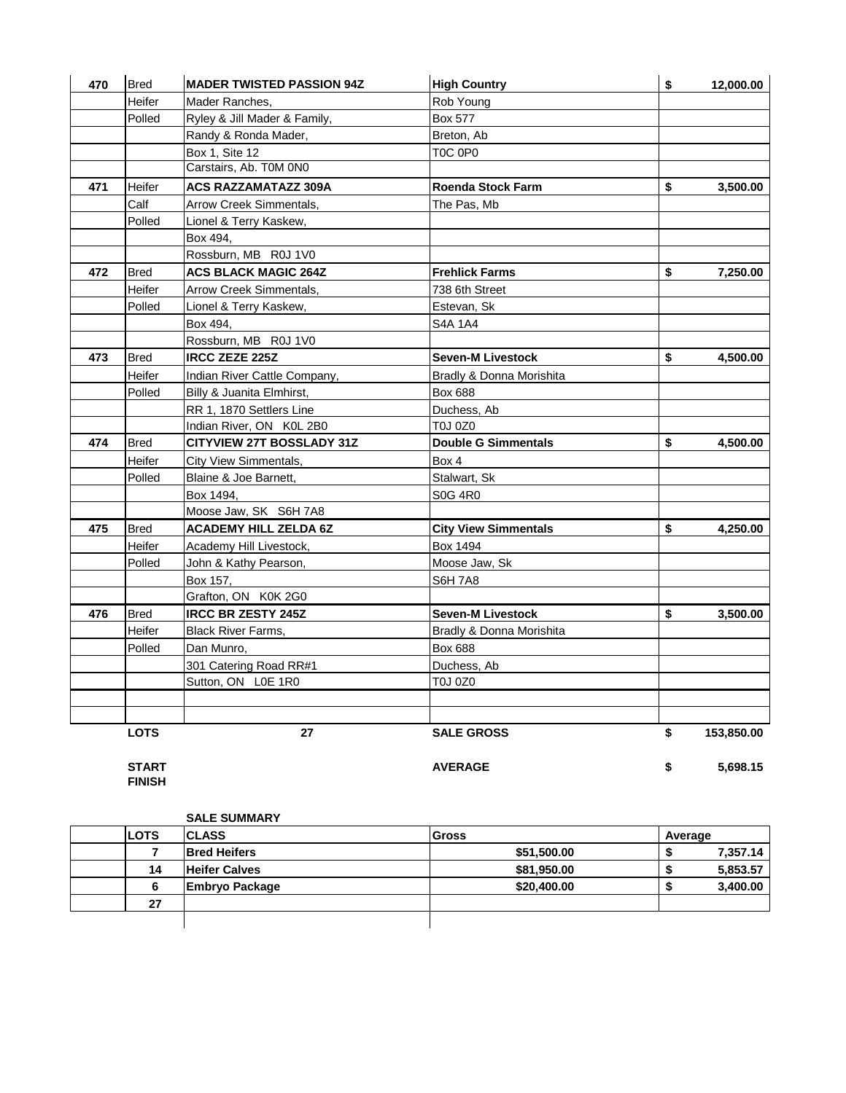| 470 | <b>Bred</b> | <b>MADER TWISTED PASSION 94Z</b> | <b>High Country</b>         | \$<br>12,000.00  |
|-----|-------------|----------------------------------|-----------------------------|------------------|
|     | Heifer      | Mader Ranches,                   | Rob Young                   |                  |
|     | Polled      | Ryley & Jill Mader & Family,     | Box 577                     |                  |
|     |             | Randy & Ronda Mader,             | Breton, Ab                  |                  |
|     |             | Box 1, Site 12                   | TOC 0P0                     |                  |
|     |             | Carstairs, Ab. T0M 0N0           |                             |                  |
| 471 | Heifer      | <b>ACS RAZZAMATAZZ 309A</b>      | <b>Roenda Stock Farm</b>    | \$<br>3,500.00   |
|     | Calf        | Arrow Creek Simmentals,          | The Pas, Mb                 |                  |
|     | Polled      | Lionel & Terry Kaskew,           |                             |                  |
|     |             | Box 494,                         |                             |                  |
|     |             | Rossburn, MB R0J 1V0             |                             |                  |
| 472 | <b>Bred</b> | <b>ACS BLACK MAGIC 264Z</b>      | <b>Frehlick Farms</b>       | \$<br>7,250.00   |
|     | Heifer      | Arrow Creek Simmentals,          | 738 6th Street              |                  |
|     | Polled      | Lionel & Terry Kaskew,           | Estevan, Sk                 |                  |
|     |             | Box 494,                         | S4A 1A4                     |                  |
|     |             | Rossburn, MB R0J 1V0             |                             |                  |
| 473 | <b>Bred</b> | <b>IRCC ZEZE 225Z</b>            | <b>Seven-M Livestock</b>    | \$<br>4,500.00   |
|     | Heifer      | Indian River Cattle Company,     | Bradly & Donna Morishita    |                  |
|     | Polled      | Billy & Juanita Elmhirst,        | Box 688                     |                  |
|     |             | RR 1, 1870 Settlers Line         | Duchess, Ab                 |                  |
|     |             | Indian River, ON K0L 2B0         | TOJ 0Z0                     |                  |
| 474 | <b>Bred</b> | <b>CITYVIEW 27T BOSSLADY 31Z</b> | <b>Double G Simmentals</b>  | \$<br>4,500.00   |
|     | Heifer      | City View Simmentals,            | Box 4                       |                  |
|     | Polled      | Blaine & Joe Barnett,            | Stalwart, Sk                |                  |
|     |             | Box 1494,                        | S0G 4R0                     |                  |
|     |             | Moose Jaw, SK S6H 7A8            |                             |                  |
| 475 | <b>Bred</b> | <b>ACADEMY HILL ZELDA 6Z</b>     | <b>City View Simmentals</b> | \$<br>4,250.00   |
|     | Heifer      | Academy Hill Livestock,          | Box 1494                    |                  |
|     | Polled      | John & Kathy Pearson,            | Moose Jaw, Sk               |                  |
|     |             | Box 157,                         | <b>S6H 7A8</b>              |                  |
|     |             | Grafton, ON K0K 2G0              |                             |                  |
| 476 | <b>Bred</b> | <b>IRCC BR ZESTY 245Z</b>        | <b>Seven-M Livestock</b>    | \$<br>3,500.00   |
|     | Heifer      | <b>Black River Farms,</b>        | Bradly & Donna Morishita    |                  |
|     | Polled      | Dan Munro,                       | Box 688                     |                  |
|     |             | 301 Catering Road RR#1           | Duchess, Ab                 |                  |
|     |             | Sutton, ON L0E 1R0               | TOJ 0Z0                     |                  |
|     |             |                                  |                             |                  |
|     | <b>LOTS</b> | 27                               | <b>SALE GROSS</b>           | \$<br>153,850.00 |

**START AVERAGE \$ 5,698.15 FINISH**

**SALE SUMMARY**

| <b>LOTS</b> | <b>CLASS</b>          | <b>Gross</b> | Average       |  |
|-------------|-----------------------|--------------|---------------|--|
|             | <b>Bred Heifers</b>   | \$51,500.00  | 7,357.14      |  |
| 14          | <b>Heifer Calves</b>  | \$81,950.00  | 5,853.57<br>æ |  |
|             | <b>Embryo Package</b> | \$20,400.00  | 3,400.00      |  |
| 27          |                       |              |               |  |
|             |                       |              |               |  |